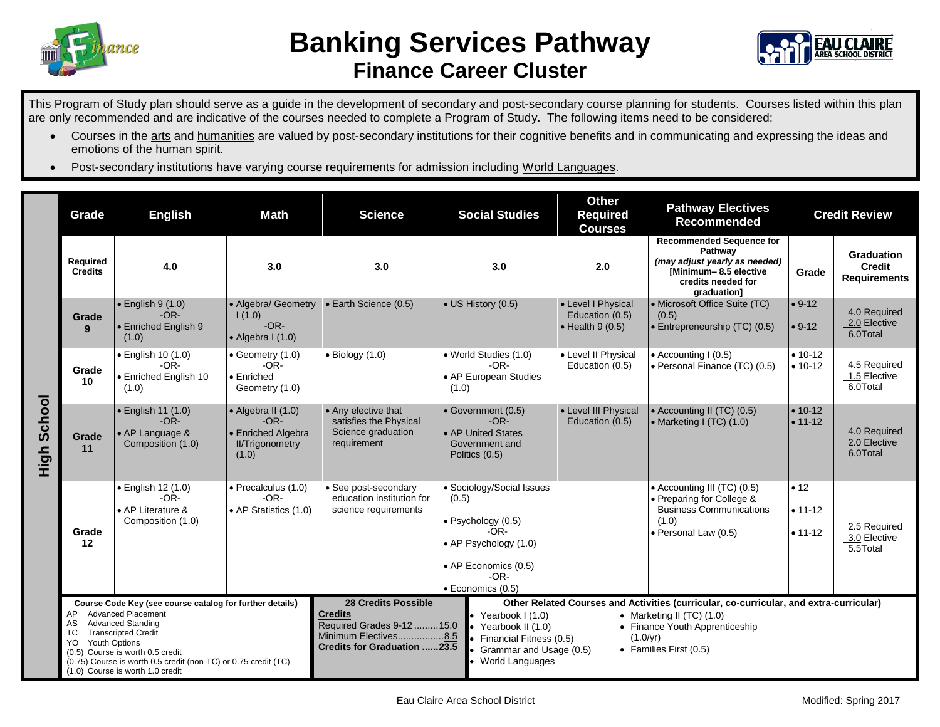



This Program of Study plan should serve as a guide in the development of secondary and post-secondary course planning for students. Courses listed within this plan are only recommended and are indicative of the courses needed to complete a Program of Study. The following items need to be considered:

- Courses in the arts and humanities are valued by post-secondary institutions for their cognitive benefits and in communicating and expressing the ideas and emotions of the human spirit.
- Post-secondary institutions have varying course requirements for admission including World Languages.

|                | Grade                                                                                                                                                                                                                                                                          | <b>English</b><br><b>Math</b>                                          |                                                                                               | <b>Science</b>                                                                                      | <b>Social Studies</b>                                                                                                                                    | <b>Other</b><br><b>Required</b><br><b>Courses</b>                                                   | <b>Pathway Electives</b><br><b>Recommended</b>                                                                                            | <b>Credit Review</b>               |                                                    |
|----------------|--------------------------------------------------------------------------------------------------------------------------------------------------------------------------------------------------------------------------------------------------------------------------------|------------------------------------------------------------------------|-----------------------------------------------------------------------------------------------|-----------------------------------------------------------------------------------------------------|----------------------------------------------------------------------------------------------------------------------------------------------------------|-----------------------------------------------------------------------------------------------------|-------------------------------------------------------------------------------------------------------------------------------------------|------------------------------------|----------------------------------------------------|
| School<br>High | <b>Required</b><br><b>Credits</b>                                                                                                                                                                                                                                              | 4.0                                                                    | 3.0                                                                                           | 3.0                                                                                                 | 3.0                                                                                                                                                      | 2.0                                                                                                 | <b>Recommended Sequence for</b><br>Pathway<br>(may adjust yearly as needed)<br>[Minimum-8.5 elective<br>credits needed for<br>graduation] | Grade                              | Graduation<br><b>Credit</b><br><b>Requirements</b> |
|                | Grade<br>9                                                                                                                                                                                                                                                                     | $\bullet$ English 9 (1.0)<br>$-OR-$<br>• Enriched English 9<br>(1.0)   | • Algebra/ Geometry<br>1(1.0)<br>$-OR-$<br>$\bullet$ Algebra I (1.0)                          | • Earth Science (0.5)                                                                               | • US History (0.5)                                                                                                                                       | • Level I Physical<br>Education (0.5)<br>$\bullet$ Health 9 (0.5)                                   | • Microsoft Office Suite (TC)<br>(0.5)<br>• Entrepreneurship (TC) (0.5)                                                                   | $• 9-12$<br>$• 9-12$               | 4.0 Required<br>2.0 Elective<br>6.0Total           |
|                | Grade<br>10                                                                                                                                                                                                                                                                    | · English 10 (1.0)<br>$-OR-$<br>• Enriched English 10<br>(1.0)         | $\bullet$ Geometry (1.0)<br>$-OR-$<br>• Enriched<br>Geometry (1.0)                            | $\bullet$ Biology (1.0)                                                                             | • World Studies (1.0)<br>$-OR-$<br>• AP European Studies<br>(1.0)                                                                                        | • Level II Physical<br>Education (0.5)                                                              | $\bullet$ Accounting I (0.5)<br>• Personal Finance (TC) (0.5)                                                                             | $• 10-12$<br>$• 10 - 12$           | 4.5 Required<br>1.5 Elective<br>6.0Total           |
|                | Grade<br>11                                                                                                                                                                                                                                                                    | • English 11 (1.0)<br>$-OR-$<br>• AP Language &<br>Composition (1.0)   | $\bullet$ Algebra II (1.0)<br>$-OR-$<br>• Enriched Algebra<br><b>II/Trigonometry</b><br>(1.0) | • Any elective that<br>satisfies the Physical<br>Science graduation<br>requirement                  | • Government (0.5)<br>$-OR-$<br>• AP United States<br>Government and<br>Politics (0.5)                                                                   | • Level III Physical<br>Education (0.5)                                                             | • Accounting II (TC) (0.5)<br>$\bullet$ Marketing I (TC) (1.0)                                                                            | $• 10-12$<br>$• 11 - 12$           | 4.0 Required<br>2.0 Elective<br>6.0Total           |
|                | Grade<br>12                                                                                                                                                                                                                                                                    | · English 12 (1.0)<br>$-OR-$<br>• AP Literature &<br>Composition (1.0) | · Precalculus (1.0)<br>$-OR-$<br>• AP Statistics (1.0)                                        | · See post-secondary<br>education institution for<br>science requirements                           | • Sociology/Social Issues<br>(0.5)<br>$\bullet$ Psychology (0.5)<br>-OR-<br>• AP Psychology (1.0)<br>• AP Economics (0.5)<br>$-OR-$<br>· Economics (0.5) |                                                                                                     | • Accounting III (TC) (0.5)<br>• Preparing for College &<br><b>Business Communications</b><br>(1.0)<br>· Personal Law (0.5)               | • 12<br>$• 11 - 12$<br>$• 11 - 12$ | 2.5 Required<br>3.0 Elective<br>5.5Total           |
|                | Course Code Key (see course catalog for further details)                                                                                                                                                                                                                       |                                                                        |                                                                                               | <b>28 Credits Possible</b>                                                                          |                                                                                                                                                          | Other Related Courses and Activities (curricular, co-curricular, and extra-curricular)              |                                                                                                                                           |                                    |                                                    |
|                | <b>Advanced Placement</b><br>AP<br><b>Advanced Standing</b><br>AS<br><b>Transcripted Credit</b><br>ТC<br><b>Youth Options</b><br>YO.<br>(0.5) Course is worth 0.5 credit<br>(0.75) Course is worth 0.5 credit (non-TC) or 0.75 credit (TC)<br>(1.0) Course is worth 1.0 credit |                                                                        |                                                                                               | <b>Credits</b><br>Required Grades 9-12  15.0<br>Minimum Electives8.5<br>Credits for Graduation 23.5 | • Yearbook $1(1.0)$<br>Yearbook II (1.0)<br>Financial Fitness (0.5)<br>Grammar and Usage (0.5)<br><b>World Languages</b>                                 | • Marketing II (TC) $(1.0)$<br>• Finance Youth Apprenticeship<br>(1.0/yr)<br>• Families First (0.5) |                                                                                                                                           |                                    |                                                    |